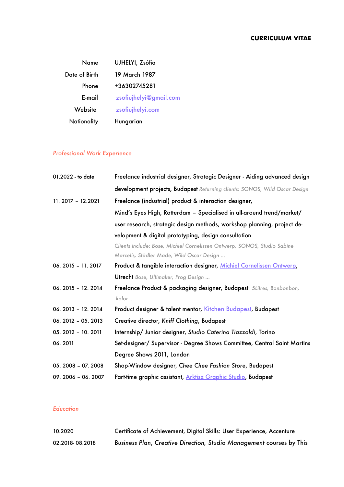| Name               | UJHELYI, Zsófia        |
|--------------------|------------------------|
| Date of Birth      | 19 March 1987          |
| Phone              | +36302745281           |
| E-mail             | zsofiujhelyi@gmail.com |
| Website            | zsofiujhelyi.com       |
| <b>Nationality</b> | Hungarian              |

# *Professional Work Experience*

| 01.2022 - to date   | Freelance industrial designer, Strategic Designer - Aiding advanced design |
|---------------------|----------------------------------------------------------------------------|
|                     | development projects, Budapest Returning clients: SONOS, Wild Oscar Design |
| 11. 2017 - 12.2021  | Freelance (industrial) product & interaction designer,                     |
|                     | Mind's Eyes High, Rotterdam - Specialised in all-around trend/market/      |
|                     | user research, strategic design methods, workshop planning, project de-    |
|                     | velopment & digital prototyping, design consultation                       |
|                     | Clients include: Bose, Michiel Cornelissen Ontwerp, SONOS, Studio Sabine   |
|                     | Marcelis, Städler Made, Wild Oscar Design                                  |
| 06. 2015 - 11. 2017 | Product & tangible interaction designer, Michiel Cornelissen Ontwerp,      |
|                     | <b>Utrecht</b> Bose, Ultimaker, Frog Design                                |
| 06. 2015 - 12. 2014 | Freelance Product & packaging designer, Budapest 5Litres, Bonbonbon,       |
|                     | kolor                                                                      |
| 06. 2013 - 12. 2014 | Product designer & talent mentor, Kitchen Budapest, Budapest               |
| 06. 2012 - 05. 2013 | Creative director, Kniff Clothing, Budapest                                |
| 05. 2012 - 10. 2011 | Internship/ Junior designer, Studio Caterina Tiazzoldi, Torino             |
| 06.2011             | Set-designer/ Supervisor - Degree Shows Committee, Central Saint Martins   |
|                     | Degree Shows 2011, London                                                  |
| 05. 2008 - 07. 2008 | Shop-Window designer, Chee Chee Fashion Store, Budapest                    |
| 09. 2006 - 06. 2007 | Part-time graphic assistant, Arktisz Graphic Studio, Budapest              |

## *Education*

| 10.2020         | Certificate of Achievement, Digital Skills: User Experience, Accenture |
|-----------------|------------------------------------------------------------------------|
| 02.2018-08.2018 | Business Plan, Creative Direction, Studio Management courses by This   |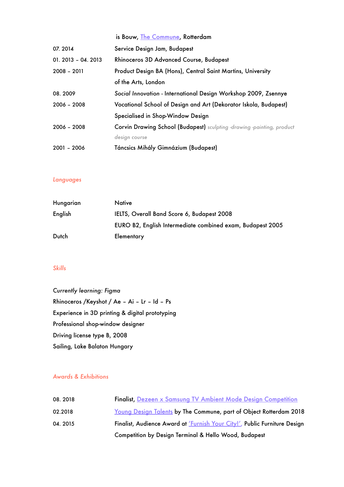|                     | is Bouw, The Commune, Rotterdam                                               |
|---------------------|-------------------------------------------------------------------------------|
| 07.2014             | Service Design Jam, Budapest                                                  |
| $01.2013 - 04.2013$ | Rhinoceros 3D Advanced Course, Budapest                                       |
| $2008 - 2011$       | Product Design BA (Hons), Central Saint Martins, University                   |
|                     | of the Arts, London                                                           |
| 08.2009             | Social Innovation - International Design Workshop 2009, Zsennye               |
| $2006 - 2008$       | Vocational School of Design and Art (Dekorator Iskola, Budapest)              |
|                     | Specialised in Shop-Window Design                                             |
| $2006 - 2008$       | <b>Corvin Drawing School (Budapest)</b> sculpting -drawing -painting, product |
|                     | design course                                                                 |
| $2001 - 2006$       | Táncsics Mihály Gimnázium (Budapest)                                          |

#### *Languages*

| Hungarian | Native                                                     |
|-----------|------------------------------------------------------------|
| English   | IELTS, Overall Band Score 6, Budapest 2008                 |
|           | EURO B2, English Intermediate combined exam, Budapest 2005 |
| Dutch     | Elementary                                                 |

#### *Skills*

*Currently learning: Figma* Rhinoceros /Keyshot / Ae – Ai – Lr – Id – Ps Experience in 3D printing & digital prototyping Professional shop-window designer Driving license type B, 2008 Sailing, Lake Balaton Hungary

### *Awards & Exhibitions*

| 08.2018 | <b>Finalist, Dezeen x Samsung TV Ambient Mode Design Competition</b>      |
|---------|---------------------------------------------------------------------------|
| 02.2018 | <u>Young Design Talents</u> by The Commune, part of Object Rotterdam 2018 |
| 04.2015 | Finalist, Audience Award at 'Furnish Your City!', Public Furniture Design |
|         | <b>Competition by Design Terminal &amp; Hello Wood, Budapest</b>          |